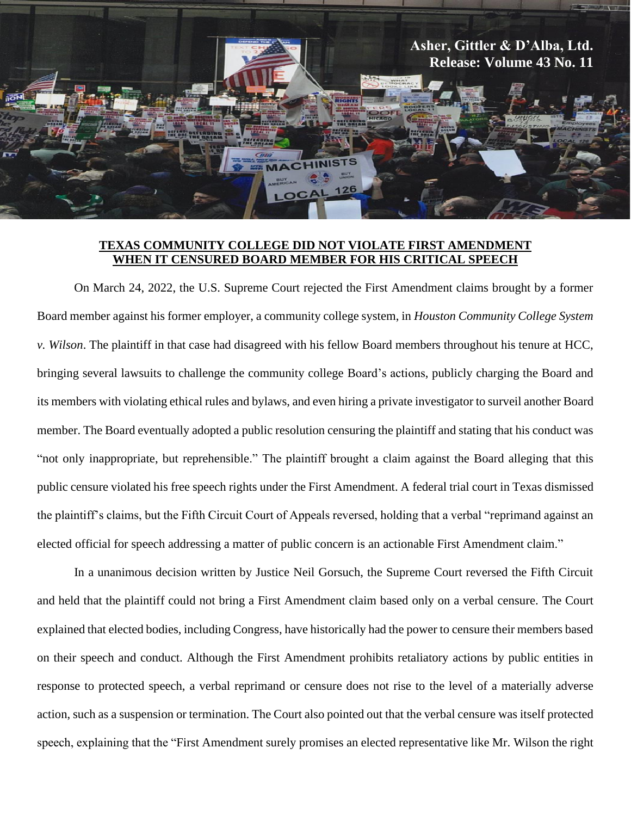

## **TEXAS COMMUNITY COLLEGE DID NOT VIOLATE FIRST AMENDMENT WHEN IT CENSURED BOARD MEMBER FOR HIS CRITICAL SPEECH**

On March 24, 2022, the U.S. Supreme Court rejected the First Amendment claims brought by a former Board member against his former employer, a community college system, in *Houston Community College System v. Wilson*. The plaintiff in that case had disagreed with his fellow Board members throughout his tenure at HCC, bringing several lawsuits to challenge the community college Board's actions, publicly charging the Board and its members with violating ethical rules and bylaws, and even hiring a private investigator to surveil another Board member. The Board eventually adopted a public resolution censuring the plaintiff and stating that his conduct was "not only inappropriate, but reprehensible." The plaintiff brought a claim against the Board alleging that this public censure violated his free speech rights under the First Amendment. A federal trial court in Texas dismissed the plaintiff's claims, but the Fifth Circuit Court of Appeals reversed, holding that a verbal "reprimand against an elected official for speech addressing a matter of public concern is an actionable First Amendment claim."

In a unanimous decision written by Justice Neil Gorsuch, the Supreme Court reversed the Fifth Circuit and held that the plaintiff could not bring a First Amendment claim based only on a verbal censure. The Court explained that elected bodies, including Congress, have historically had the power to censure their members based on their speech and conduct. Although the First Amendment prohibits retaliatory actions by public entities in response to protected speech, a verbal reprimand or censure does not rise to the level of a materially adverse action, such as a suspension or termination. The Court also pointed out that the verbal censure was itself protected speech, explaining that the "First Amendment surely promises an elected representative like Mr. Wilson the right